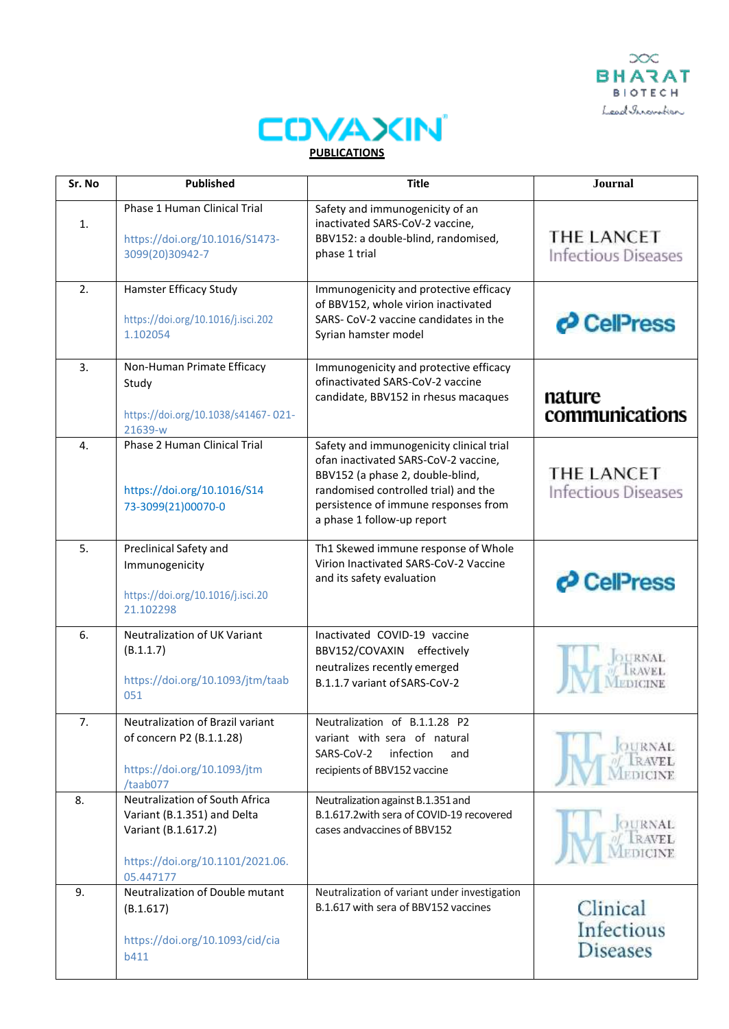



| Sr. No         | <b>Published</b>                                                                                                                      | <b>Title</b>                                                                                                                                                                                                                       | <b>Journal</b>                            |
|----------------|---------------------------------------------------------------------------------------------------------------------------------------|------------------------------------------------------------------------------------------------------------------------------------------------------------------------------------------------------------------------------------|-------------------------------------------|
| $\mathbf{1}$ . | Phase 1 Human Clinical Trial<br>https://doi.org/10.1016/S1473-<br>3099(20)30942-7                                                     | Safety and immunogenicity of an<br>inactivated SARS-CoV-2 vaccine,<br>BBV152: a double-blind, randomised,<br>phase 1 trial                                                                                                         | THE LANCET<br><b>Infectious Diseases</b>  |
| 2.             | Hamster Efficacy Study<br>https://doi.org/10.1016/j.isci.202<br>1.102054                                                              | Immunogenicity and protective efficacy<br>of BBV152, whole virion inactivated<br>SARS- CoV-2 vaccine candidates in the<br>Syrian hamster model                                                                                     | CelPress                                  |
| 3.             | Non-Human Primate Efficacy<br>Study<br>https://doi.org/10.1038/s41467-021-<br>21639-w                                                 | Immunogenicity and protective efficacy<br>ofinactivated SARS-CoV-2 vaccine<br>candidate, BBV152 in rhesus macaques                                                                                                                 | nature<br>communications                  |
| $\mathbf{4}$ . | Phase 2 Human Clinical Trial<br>https://doi.org/10.1016/S14<br>73-3099(21)00070-0                                                     | Safety and immunogenicity clinical trial<br>ofan inactivated SARS-CoV-2 vaccine,<br>BBV152 (a phase 2, double-blind,<br>randomised controlled trial) and the<br>persistence of immune responses from<br>a phase 1 follow-up report | THE LANCET<br><b>Infectious Diseases</b>  |
| 5.             | Preclinical Safety and<br>Immunogenicity<br>https://doi.org/10.1016/j.isci.20<br>21.102298                                            | Th1 Skewed immune response of Whole<br>Virion Inactivated SARS-CoV-2 Vaccine<br>and its safety evaluation                                                                                                                          | CellPress                                 |
| 6.             | Neutralization of UK Variant<br>(B.1.1.7)<br>https://doi.org/10.1093/jtm/taab<br>051                                                  | Inactivated COVID-19 vaccine<br>BBV152/COVAXIN effectively<br>neutralizes recently emerged<br>B.1.1.7 variant of SARS-CoV-2                                                                                                        |                                           |
| 7.             | Neutralization of Brazil variant<br>of concern P2 (B.1.1.28)<br>https://doi.org/10.1093/jtm<br>/taab077                               | Neutralization of B.1.1.28 P2<br>variant with sera of natural<br>infection<br>SARS-CoV-2<br>and<br>recipients of BBV152 vaccine                                                                                                    | JURNAL<br>RAVEL.                          |
| 8.             | Neutralization of South Africa<br>Variant (B.1.351) and Delta<br>Variant (B.1.617.2)<br>https://doi.org/10.1101/2021.06.<br>05.447177 | Neutralization against B.1.351 and<br>B.1.617.2 with sera of COVID-19 recovered<br>cases andvaccines of BBV152                                                                                                                     | <b>OURNAL</b><br><b>AVEL</b>              |
| 9.             | Neutralization of Double mutant<br>(B.1.617)<br>https://doi.org/10.1093/cid/cia<br>b411                                               | Neutralization of variant under investigation<br>B.1.617 with sera of BBV152 vaccines                                                                                                                                              | Clinical<br>Infectious<br><b>Diseases</b> |